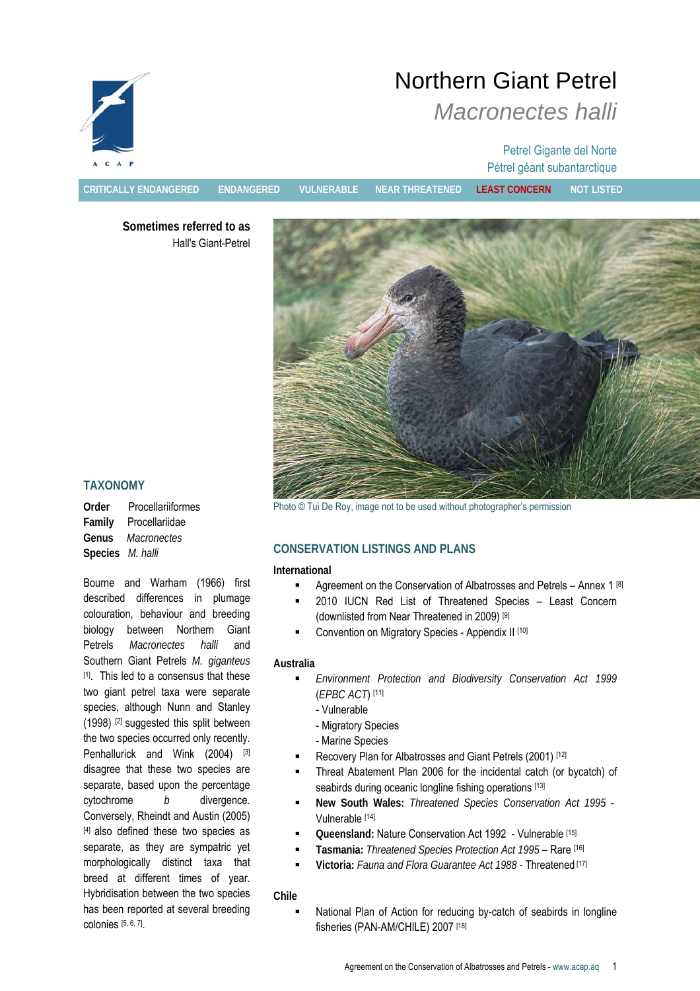

# Northern Giant Petrel *Macronectes halli*

# Petrel Gigante del Norte Pétrel géant subantarctique

**CRITICALLY ENDANGERED ENDANGERED VULNERABLE NEAR THREATENED LEAST CONCERN NOT LISTED**

**Sometimes referred to as**  Hall's Giant-Petrel



# **TAXONOMY**

**Order** Procellariiformes **Family** Procellariidae **Genus** *Macronectes*  **Species** *M. halli* 

Bourne and Warham (1966) first described differences in plumage colouration, behaviour and breeding biology between Northern Giant Petrels *Macronectes halli* and Southern Giant Petrels *M. giganteus* [1]. This led to a consensus that these two giant petrel taxa were separate species, although Nunn and Stanley (1998) [2] suggested this split between the two species occurred only recently. Penhallurick and Wink (2004) [3] disagree that these two species are separate, based upon the percentage cytochrome *b* divergence. Conversely, Rheindt and Austin (2005) [4] also defined these two species as separate, as they are sympatric yet morphologically distinct taxa that breed at different times of year. Hybridisation between the two species has been reported at several breeding colonies [5, 6, 7].

# **CONSERVATION LISTINGS AND PLANS**

#### **International**

- Agreement on the Conservation of Albatrosses and Petrels Annex 1 [8]
- 2010 IUCN Red List of Threatened Species Least Concern (downlisted from Near Threatened in 2009) [9]
- Convention on Migratory Species Appendix II [10]

# **Australia**

- *Environment Protection and Biodiversity Conservation Act 1999*  (*EPBC ACT*) [11]
	- Vulnerable
	- Migratory Species
	- Marine Species
- Recovery Plan for Albatrosses and Giant Petrels (2001) [12]
- Threat Abatement Plan 2006 for the incidental catch (or bycatch) of seabirds during oceanic longline fishing operations [13]
- **New South Wales:** *Threatened Species Conservation Act 1995* Vulnerable [14]
- **Queensland:** Nature Conservation Act 1992 Vulnerable [15]
- **Tasmania:** *Threatened Species Protection Act 1995*  Rare [16]
- **Victoria:** *Fauna and Flora Guarantee Act 1988* Threatened [17]

# **Chile**

 National Plan of Action for reducing by-catch of seabirds in longline fisheries (PAN-AM/CHILE) 2007 [18]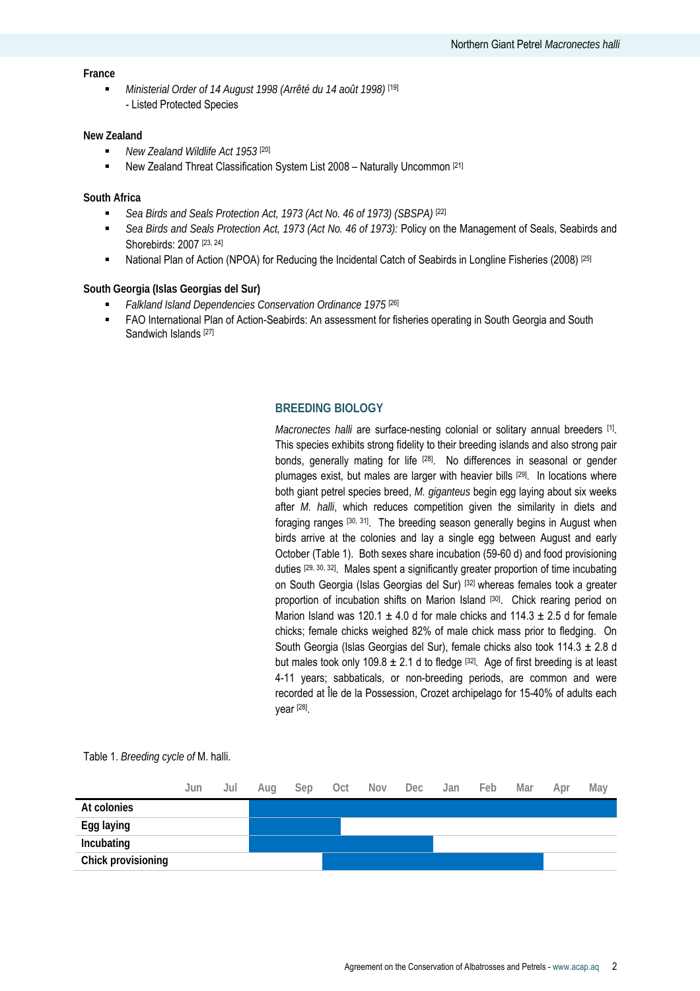#### **France**

 *Ministerial Order of 14 August 1998 (Arrêté du 14 août 1998)* [19] - Listed Protected Species

#### **New Zealand**

- *New Zealand Wildlife Act 1953* [20]
- New Zealand Threat Classification System List 2008 Naturally Uncommon [21]

#### **South Africa**

- *Sea Birds and Seals Protection Act, 1973 (Act No. 46 of 1973) (SBSPA)* [22]
- *Sea Birds and Seals Protection Act, 1973 (Act No. 46 of 1973):* Policy on the Management of Seals, Seabirds and Shorebirds: 2007<sup>[23, 24]</sup>
- National Plan of Action (NPOA) for Reducing the Incidental Catch of Seabirds in Longline Fisheries (2008) [25]

#### **South Georgia (Islas Georgias del Sur)**

- *Falkland Island Dependencies Conservation Ordinance 1975* [26]
- FAO International Plan of Action-Seabirds: An assessment for fisheries operating in South Georgia and South Sandwich Islands [27]

#### **BREEDING BIOLOGY**

*Macronectes halli* are surface-nesting colonial or solitary annual breeders [1]. This species exhibits strong fidelity to their breeding islands and also strong pair bonds, generally mating for life [28]. No differences in seasonal or gender plumages exist, but males are larger with heavier bills [29]. In locations where both giant petrel species breed, *M. giganteus* begin egg laying about six weeks after *M. halli*, which reduces competition given the similarity in diets and foraging ranges [30, 31]. The breeding season generally begins in August when birds arrive at the colonies and lay a single egg between August and early October (Table 1). Both sexes share incubation (59-60 d) and food provisioning duties [29, 30, 32]. Males spent a significantly greater proportion of time incubating on South Georgia (Islas Georgias del Sur) [32] whereas females took a greater proportion of incubation shifts on Marion Island [30]. Chick rearing period on Marion Island was 120.1  $\pm$  4.0 d for male chicks and 114.3  $\pm$  2.5 d for female chicks; female chicks weighed 82% of male chick mass prior to fledging. On South Georgia (Islas Georgias del Sur), female chicks also took  $114.3 \pm 2.8$  d but males took only 109.8  $\pm$  2.1 d to fledge [32]. Age of first breeding is at least 4-11 years; sabbaticals, or non-breeding periods, are common and were recorded at Île de la Possession, Crozet archipelago for 15-40% of adults each year [28].

Table 1. *Breeding cycle of* M. halli.

|                    | Jun | Jul | Aug | Sep | Oct | <b>Nov</b> | Dec | Jan | Feb | Mar | Apr | May |
|--------------------|-----|-----|-----|-----|-----|------------|-----|-----|-----|-----|-----|-----|
| At colonies        |     |     |     |     |     |            |     |     |     |     |     |     |
| Egg laying         |     |     |     |     |     |            |     |     |     |     |     |     |
| Incubating         |     |     |     |     |     |            |     |     |     |     |     |     |
| Chick provisioning |     |     |     |     |     |            |     |     |     |     |     |     |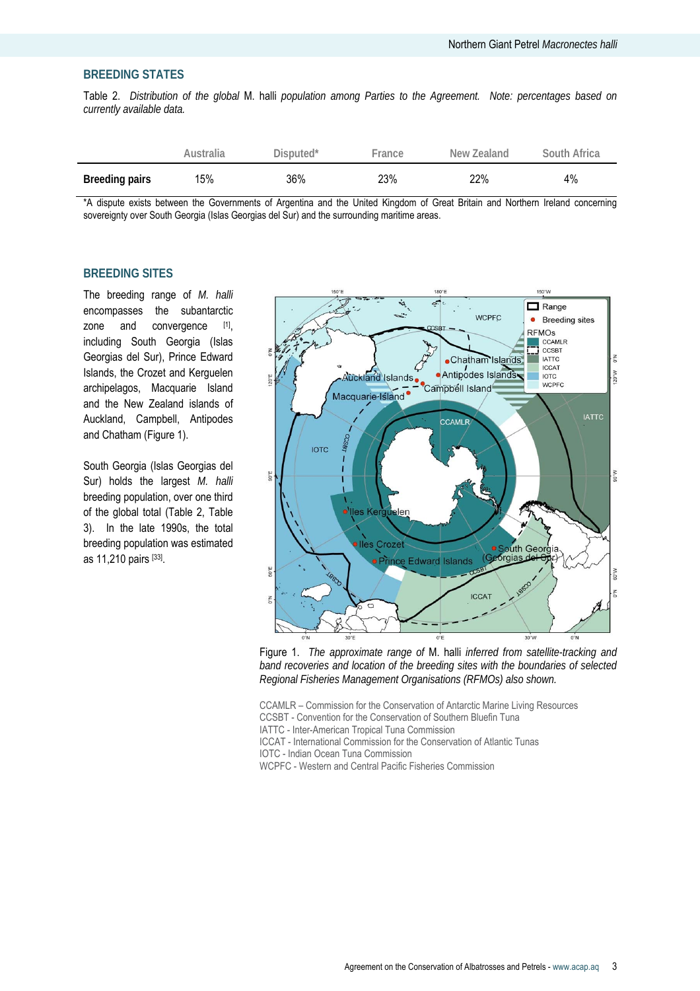#### **BREEDING STATES**

Table 2. *Distribution of the global* M. halli *population among Parties to the Agreement. Note: percentages based on currently available data.* 

|                       | Australia | Disputed <sup>*</sup> | -rance | New Zealand | South Africa |
|-----------------------|-----------|-----------------------|--------|-------------|--------------|
| <b>Breeding pairs</b> | 15%       | 36%                   | 23%    | 22%         | 4%           |

\*A dispute exists between the Governments of Argentina and the United Kingdom of Great Britain and Northern Ireland concerning sovereignty over South Georgia (Islas Georgias del Sur) and the surrounding maritime areas.

# **BREEDING SITES**

The breeding range of *M. halli* encompasses the subantarctic zone and convergence [1], including South Georgia (Islas Georgias del Sur), Prince Edward Islands, the Crozet and Kerguelen archipelagos, Macquarie Island and the New Zealand islands of Auckland, Campbell, Antipodes and Chatham (Figure 1).

South Georgia (Islas Georgias del Sur) holds the largest *M. halli* breeding population, over one third of the global total (Table 2, Table 3). In the late 1990s, the total breeding population was estimated as 11,210 pairs [33].



Figure 1. *The approximate range of* M. halli *inferred from satellite-tracking and band recoveries and location of the breeding sites with the boundaries of selected Regional Fisheries Management Organisations (RFMOs) also shown.* 

CCAMLR – Commission for the Conservation of Antarctic Marine Living Resources

CCSBT - Convention for the Conservation of Southern Bluefin Tuna

IATTC - Inter-American Tropical Tuna Commission

ICCAT - International Commission for the Conservation of Atlantic Tunas

IOTC - Indian Ocean Tuna Commission

WCPFC - Western and Central Pacific Fisheries Commission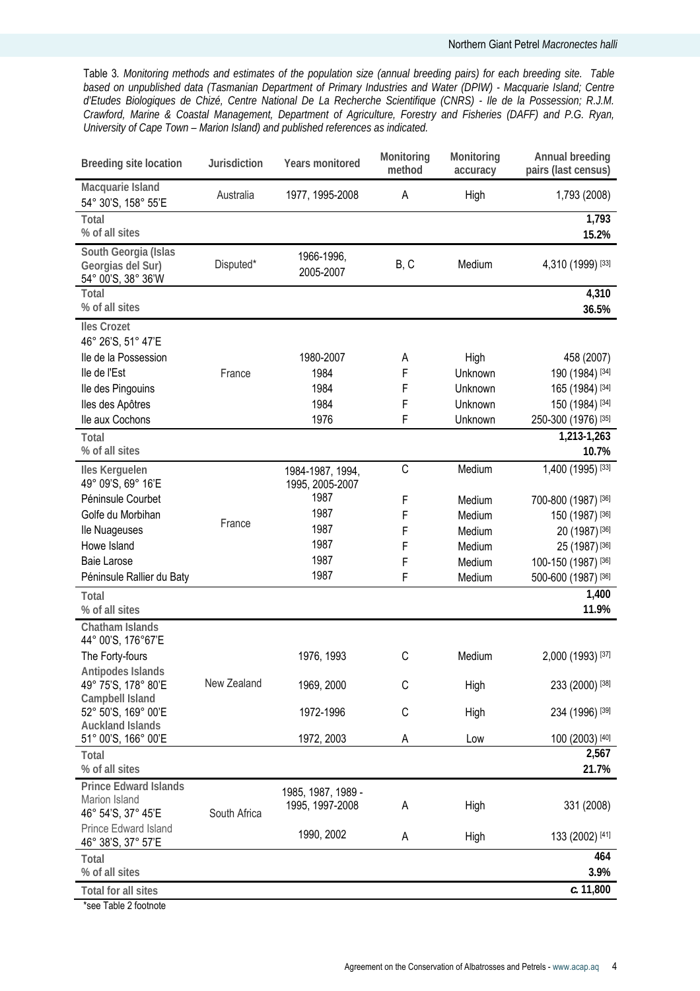Table 3*. Monitoring methods and estimates of the population size (annual breeding pairs) for each breeding site. Table based on unpublished data (Tasmanian Department of Primary Industries and Water (DPIW) - Macquarie Island; Centre d'Etudes Biologiques de Chizé, Centre National De La Recherche Scientifique (CNRS) - Ile de la Possession; R.J.M. Crawford, Marine & Coastal Management, Department of Agriculture, Forestry and Fisheries (DAFF) and P.G. Ryan, University of Cape Town – Marion Island) and published references as indicated.* 

| Breeding site location                                          | Jurisdiction | Years monitored                     | Monitoring<br>method | Monitoring<br>accuracy | Annual breeding<br>pairs (last census) |
|-----------------------------------------------------------------|--------------|-------------------------------------|----------------------|------------------------|----------------------------------------|
| Macquarie Island<br>54° 30'S, 158° 55'E                         | Australia    | 1977, 1995-2008                     | Α                    | High                   | 1,793 (2008)                           |
| Total<br>% of all sites                                         |              |                                     |                      |                        | 1,793<br>15.2%                         |
| South Georgia (Islas<br>Georgias del Sur)<br>54° 00'S, 38° 36'W | Disputed*    | 1966-1996,<br>2005-2007             | B, C                 | Medium                 | 4,310 (1999) [33]                      |
| Total<br>% of all sites                                         |              |                                     |                      |                        | 4,310<br>36.5%                         |
| <b>Iles Crozet</b><br>46° 26'S, 51° 47'E                        |              |                                     |                      |                        |                                        |
| lle de la Possession                                            |              | 1980-2007                           | А                    | High                   | 458 (2007)                             |
| lle de l'Est                                                    | France       | 1984                                | $\mathsf F$          | Unknown                | 190 (1984) [34]                        |
| lle des Pingouins                                               |              | 1984                                | $\mathsf F$          | Unknown                | 165 (1984) [34]                        |
| lles des Apôtres                                                |              | 1984                                | $\mathsf F$          | Unknown                | 150 (1984) [34]                        |
| lle aux Cochons                                                 |              | 1976                                | F                    | Unknown                | 250-300 (1976) [35]                    |
| Total                                                           |              |                                     |                      |                        | 1,213-1,263                            |
| % of all sites                                                  |              |                                     |                      |                        | 10.7%                                  |
| Iles Kerguelen<br>49° 09'S, 69° 16'E                            |              | 1984-1987, 1994,<br>1995, 2005-2007 | C                    | Medium                 | 1,400 (1995) [33]                      |
| Péninsule Courbet                                               |              | 1987                                | $\mathsf F$          | Medium                 | 700-800 (1987) [36]                    |
| Golfe du Morbihan                                               |              | 1987                                | F                    | Medium                 | 150 (1987) [36]                        |
| lle Nuageuses                                                   | France       | 1987                                | F                    | Medium                 | 20 (1987) [36]                         |
| Howe Island                                                     |              | 1987                                | F                    | Medium                 | 25 (1987) [36]                         |
| <b>Baie Larose</b>                                              |              | 1987                                | F                    | Medium                 | 100-150 (1987) [36]                    |
| Péninsule Rallier du Baty                                       |              | 1987                                | F                    | Medium                 | 500-600 (1987) [36]                    |
| Total                                                           |              |                                     |                      |                        | 1,400                                  |
| % of all sites                                                  |              |                                     |                      |                        | 11.9%                                  |
| <b>Chatham Islands</b><br>44° 00'S, 176°67'E                    |              |                                     |                      |                        |                                        |
| The Forty-fours                                                 |              | 1976, 1993                          | C                    | Medium                 | 2,000 (1993) [37]                      |
| Antipodes Islands                                               |              |                                     |                      |                        |                                        |
| 49° 75'S, 178° 80'E                                             | New Zealand  | 1969, 2000                          | С                    | High                   | 233 (2000) [38]                        |
| Campbell Island                                                 |              |                                     |                      |                        |                                        |
| 52° 50'S, 169° 00'E                                             |              | 1972-1996                           | C                    | High                   | 234 (1996) [39]                        |
| <b>Auckland Islands</b><br>51° 00'S, 166° 00'E                  |              | 1972, 2003                          | А                    | Low                    | 100 (2003) [40]                        |
| Total<br>% of all sites                                         |              |                                     |                      |                        | 2,567<br>21.7%                         |
| <b>Prince Edward Islands</b>                                    |              | 1985, 1987, 1989 -                  |                      |                        |                                        |
| Marion Island<br>46° 54'S, 37° 45'E                             | South Africa | 1995, 1997-2008                     | Α                    | High                   | 331 (2008)                             |
| <b>Prince Edward Island</b><br>46° 38'S, 37° 57'E               |              | 1990, 2002                          | А                    | High                   | 133 (2002) [41]                        |
| Total<br>% of all sites                                         |              |                                     |                      |                        | 464<br>3.9%                            |
| <b>Total for all sites</b>                                      |              |                                     |                      |                        | c. 11,800                              |
| tone Table Of saturate                                          |              |                                     |                      |                        |                                        |

\*see Table 2 footnote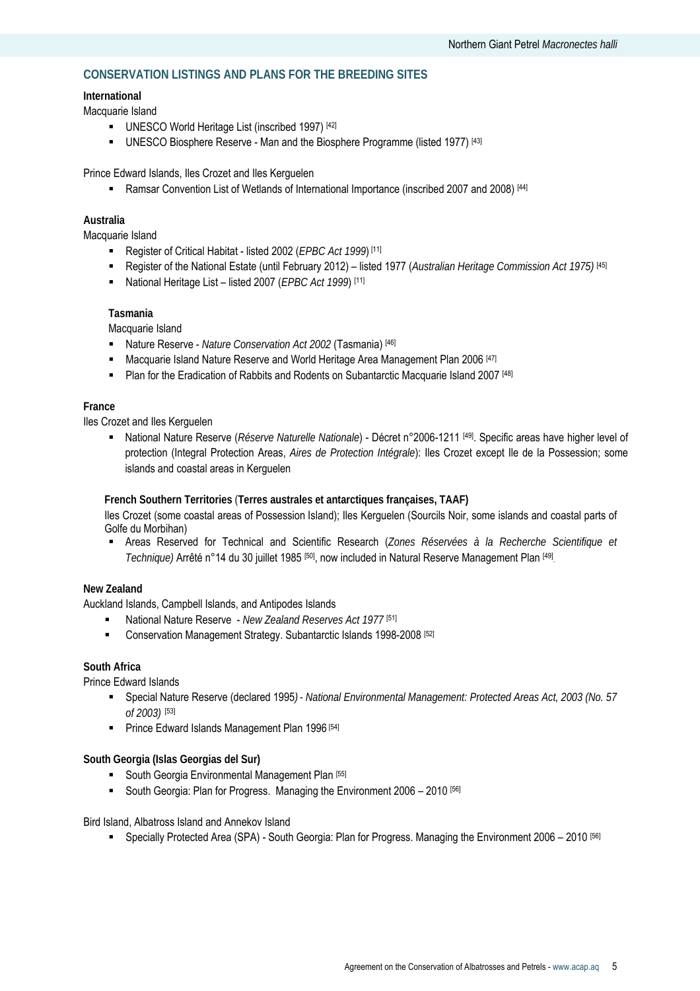# **CONSERVATION LISTINGS AND PLANS FOR THE BREEDING SITES**

#### **International**

Macquarie Island

- UNESCO World Heritage List (inscribed 1997) [42]
- UNESCO Biosphere Reserve Man and the Biosphere Programme (listed 1977)<sup>[43]</sup>

Prince Edward Islands, Iles Crozet and Iles Kerguelen

■ Ramsar Convention List of Wetlands of International Importance (inscribed 2007 and 2008) [44]

#### **Australia**

Macquarie Island

- Register of Critical Habitat listed 2002 (*EPBC Act 1999*) [11]
- Register of the National Estate (until February 2012) listed 1977 (*Australian Heritage Commission Act 1975)* [45]
- National Heritage List listed 2007 (*EPBC Act 1999*) [11]

#### **Tasmania**

Macquarie Island

- Nature Reserve *Nature Conservation Act 2002* (Tasmania) [46]
- **Macquarie Island Nature Reserve and World Heritage Area Management Plan 2006** [47]
- Plan for the Eradication of Rabbits and Rodents on Subantarctic Macquarie Island 2007 [48]

#### **France**

Iles Crozet and Iles Kerguelen

■ National Nature Reserve (*Réserve Naturelle Nationale*) - Décret n°2006-1211 [49]. Specific areas have higher level of protection (Integral Protection Areas, *Aires de Protection Intégrale*): Iles Crozet except Ile de la Possession; some islands and coastal areas in Kerguelen

**French Southern Territories** (**Terres australes et antarctiques françaises, TAAF)** 

Iles Crozet (some coastal areas of Possession Island); Iles Kerguelen (Sourcils Noir, some islands and coastal parts of Golfe du Morbihan)

 Areas Reserved for Technical and Scientific Research (*Zones Réservées à la Recherche Scientifique et Technique)* Arrêté n°14 du 30 juillet 1985 [50], now included in Natural Reserve Management Plan [49].

# **New Zealand**

Auckland Islands, Campbell Islands, and Antipodes Islands

- National Nature Reserve *New Zealand Reserves Act 1977* [51]
- **EXECONSERVATED Management Strategy. Subantarctic Islands 1998-2008** [52]

# **South Africa**

Prince Edward Islands

- Special Nature Reserve (declared 1995*) National Environmental Management: Protected Areas Act, 2003 (No. 57 of 2003)* [53]
- **Prince Edward Islands Management Plan 1996** [54]

**South Georgia (Islas Georgias del Sur)**

- South Georgia Environmental Management Plan [55]
- South Georgia: Plan for Progress. Managing the Environment 2006 2010 [56]

Bird Island, Albatross Island and Annekov Island

Specially Protected Area (SPA) - South Georgia: Plan for Progress. Managing the Environment 2006 – 2010 [56]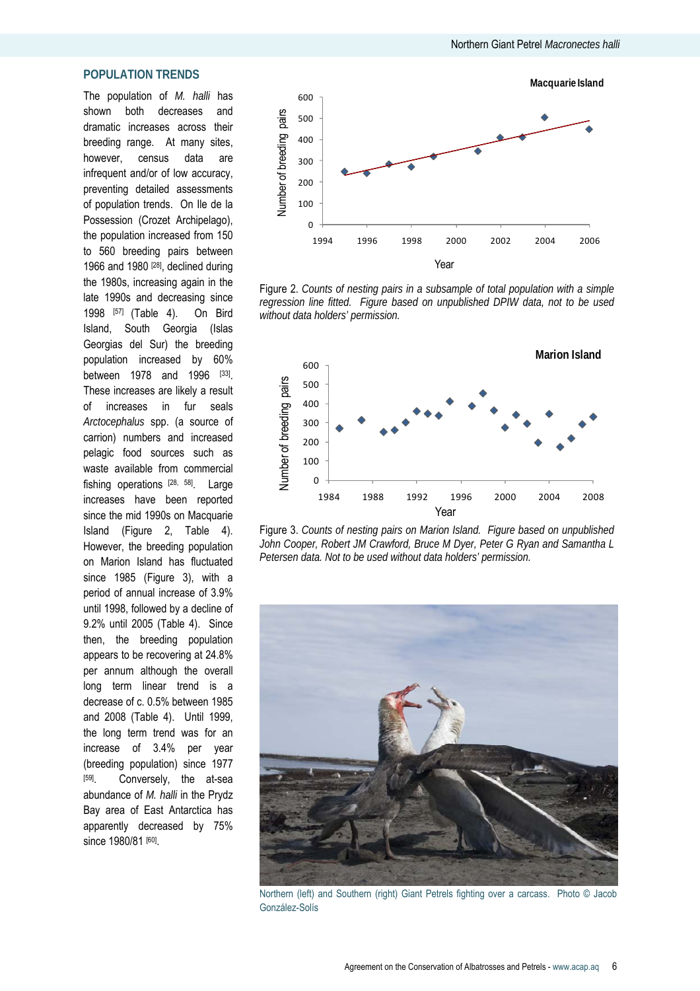# **POPULATION TRENDS**

The population of *M. halli* has shown both decreases and dramatic increases across their breeding range. At many sites, however, census data are infrequent and/or of low accuracy, preventing detailed assessments of population trends. On Ile de la Possession (Crozet Archipelago), the population increased from 150 to 560 breeding pairs between 1966 and 1980 [28], declined during the 1980s, increasing again in the late 1990s and decreasing since 1998 [57] (Table 4). On Bird Island, South Georgia (Islas Georgias del Sur) the breeding population increased by 60% between 1978 and 1996 [33]. These increases are likely a result of increases in fur seals *Arctocephalus* spp. (a source of carrion) numbers and increased pelagic food sources such as waste available from commercial fishing operations  $[28, 58]$ . Large increases have been reported since the mid 1990s on Macquarie Island (Figure 2, Table 4). However, the breeding population on Marion Island has fluctuated since 1985 (Figure 3), with a period of annual increase of 3.9% until 1998, followed by a decline of 9.2% until 2005 (Table 4). Since then, the breeding population appears to be recovering at 24.8% per annum although the overall long term linear trend is a decrease of c. 0.5% between 1985 and 2008 (Table 4). Until 1999, the long term trend was for an increase of 3.4% per year (breeding population) since 1977 [59]. Conversely, the at-sea abundance of *M. halli* in the Prydz Bay area of East Antarctica has apparently decreased by 75% since 1980/81 [60].



Figure 2. *Counts of nesting pairs in a subsample of total population with a simple regression line fitted. Figure based on unpublished DPIW data, not to be used without data holders' permission.* 



Figure 3. *Counts of nesting pairs on Marion Island. Figure based on unpublished John Cooper, Robert JM Crawford, Bruce M Dyer, Peter G Ryan and Samantha L Petersen data. Not to be used without data holders' permission.* 



Northern (left) and Southern (right) Giant Petrels fighting over a carcass. Photo © Jacob González-Solís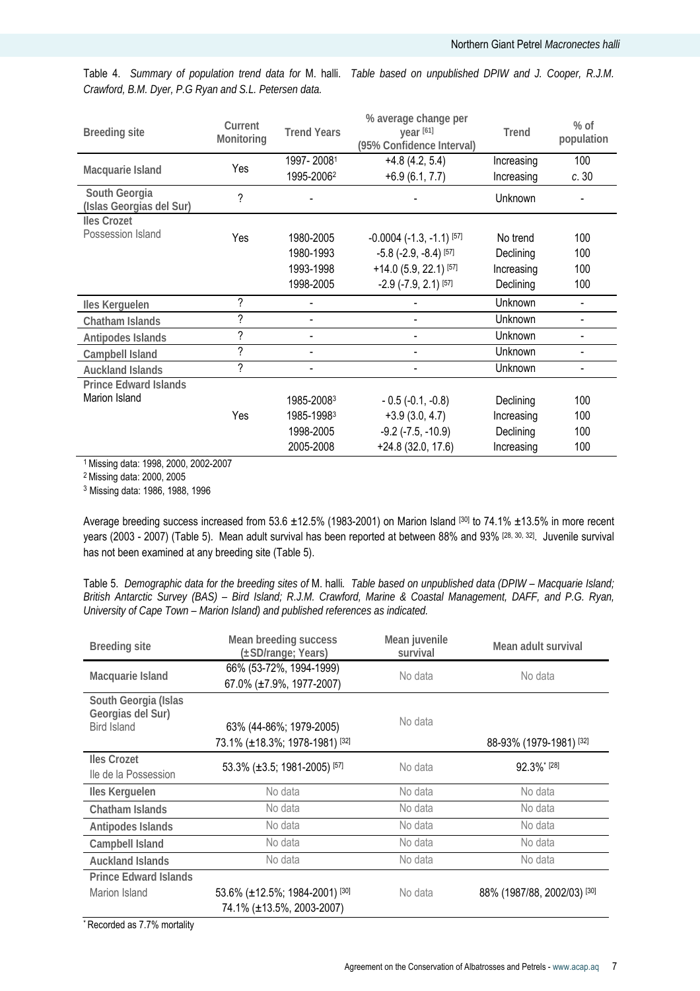*Crawford, B.M. Dyer, P.G Ryan and S.L. Petersen data.* 

Table 4. *Summary of population trend data for* M. halli. *Table based on unpublished DPIW and J. Cooper, R.J.M.* 

| <b>Breeding site</b>                      | Current<br>Monitoring    | <b>Trend Years</b> | % average change per<br>year [61]<br>(95% Confidence Interval) | <b>Trend</b> | $%$ of<br>population     |
|-------------------------------------------|--------------------------|--------------------|----------------------------------------------------------------|--------------|--------------------------|
|                                           | Yes                      | 1997-20081         | $+4.8(4.2, 5.4)$                                               | Increasing   | 100                      |
| Macquarie Island                          |                          | 1995-20062         | $+6.9(6.1, 7.7)$                                               | Increasing   | c.30                     |
| South Georgia<br>(Islas Georgias del Sur) | $\overline{\phantom{a}}$ |                    |                                                                | Unknown      |                          |
| <b>Iles Crozet</b>                        |                          |                    |                                                                |              |                          |
| Possession Island                         | Yes                      | 1980-2005          | $-0.0004$ $(-1.3, -1.1)$ [57]                                  | No trend     | 100                      |
|                                           |                          | 1980-1993          | $-5.8$ ( $-2.9$ , $-8.4$ ) [57]                                | Declining    | 100                      |
|                                           |                          | 1993-1998          | $+14.0$ (5.9, 22.1) [57]                                       | Increasing   | 100                      |
|                                           |                          | 1998-2005          | $-2.9$ ( $-7.9$ , 2.1) [ $57$ ]                                | Declining    | 100                      |
| Iles Kerguelen                            | ?                        |                    |                                                                | Unknown      |                          |
| Chatham Islands                           | $\overline{\phantom{a}}$ |                    |                                                                | Unknown      |                          |
| Antipodes Islands                         | ?                        | $\blacksquare$     |                                                                | Unknown      |                          |
| Campbell Island                           | $\overline{\phantom{a}}$ | $\blacksquare$     |                                                                | Unknown      | $\overline{\phantom{0}}$ |
| <b>Auckland Islands</b>                   | $\overline{\phantom{a}}$ | $\blacksquare$     |                                                                | Unknown      |                          |
| <b>Prince Edward Islands</b>              |                          |                    |                                                                |              |                          |
| Marion Island                             |                          | 1985-20083         | $-0.5$ ( $-0.1, -0.8$ )                                        | Declining    | 100                      |
|                                           | Yes                      | 1985-19983         | $+3.9(3.0, 4.7)$                                               | Increasing   | 100                      |
|                                           |                          | 1998-2005          | $-9.2$ ( $-7.5$ , $-10.9$ )                                    | Declining    | 100                      |
|                                           |                          | 2005-2008          | $+24.8(32.0, 17.6)$                                            | Increasing   | 100                      |

1 Missing data: 1998, 2000, 2002-2007

2 Missing data: 2000, 2005

<sup>3</sup> Missing data: 1986, 1988, 1996

Average breeding success increased from 53.6  $\pm$ 12.5% (1983-2001) on Marion Island [30] to 74.1%  $\pm$ 13.5% in more recent years (2003 - 2007) (Table 5). Mean adult survival has been reported at between 88% and 93% [28, 30, 32]. Juvenile survival has not been examined at any breeding site (Table 5).

Table 5. *Demographic data for the breeding sites of* M. halli*. Table based on unpublished data (DPIW – Macquarie Island; British Antarctic Survey (BAS) – Bird Island; R.J.M. Crawford, Marine & Coastal Management, DAFF, and P.G. Ryan, University of Cape Town – Marion Island) and published references as indicated.* 

| <b>Breeding site</b>                                            | Mean breeding success<br>(±SD/range; Years)                 | Mean juvenile<br>survival | Mean adult survival         |  |
|-----------------------------------------------------------------|-------------------------------------------------------------|---------------------------|-----------------------------|--|
| Macquarie Island                                                | 66% (53-72%, 1994-1999)<br>67.0% (±7.9%, 1977-2007)         | No data                   | No data                     |  |
| South Georgia (Islas<br>Georgias del Sur)<br><b>Bird Island</b> | 63% (44-86%; 1979-2005)<br>73.1% (±18.3%; 1978-1981) [32]   | No data                   | 88-93% (1979-1981) [32]     |  |
| <b>Iles Crozet</b><br>lle de la Possession                      | 53.3% (±3.5; 1981-2005) [57]                                | No data                   | 92.3%* [28]                 |  |
| Iles Kerguelen                                                  | No data                                                     | No data                   | No data                     |  |
| Chatham Islands                                                 | No data                                                     | No data                   | No data                     |  |
| Antipodes Islands                                               | No data                                                     | No data                   | No data                     |  |
| Campbell Island                                                 | No data                                                     | No data                   | No data                     |  |
| <b>Auckland Islands</b>                                         | No data                                                     | No data                   | No data                     |  |
| <b>Prince Edward Islands</b><br>Marion Island                   | 53.6% (±12.5%; 1984-2001) [30]<br>74.1% (±13.5%, 2003-2007) | No data                   | 88% (1987/88, 2002/03) [30] |  |

\* Recorded as 7.7% mortality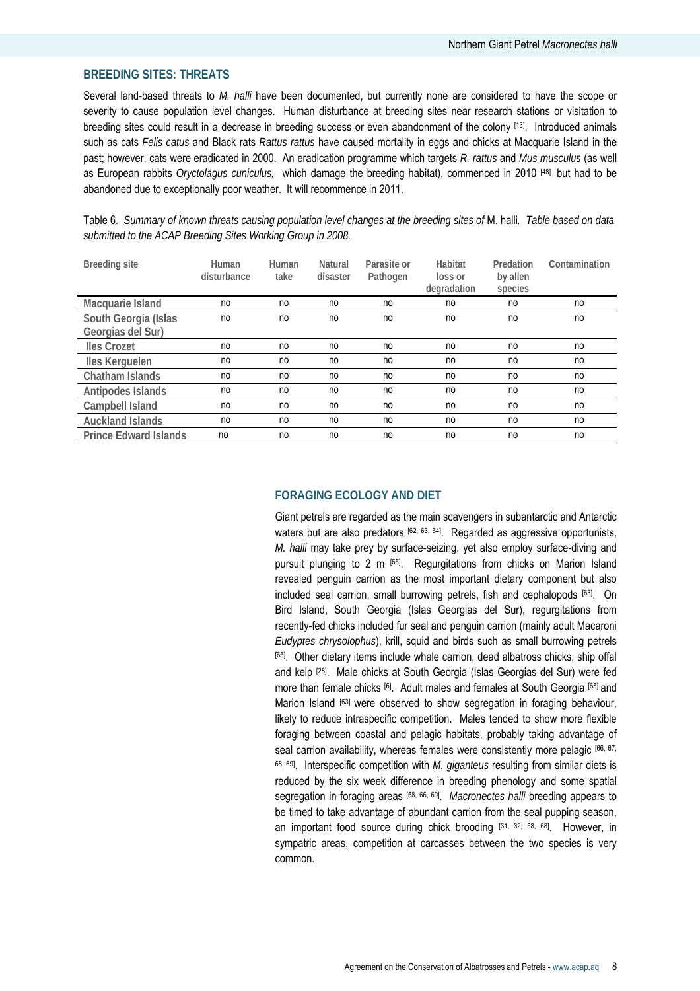#### **BREEDING SITES: THREATS**

Several land-based threats to *M. halli* have been documented, but currently none are considered to have the scope or severity to cause population level changes. Human disturbance at breeding sites near research stations or visitation to breeding sites could result in a decrease in breeding success or even abandonment of the colony [13]. Introduced animals such as cats *Felis catus* and Black rats *Rattus rattus* have caused mortality in eggs and chicks at Macquarie Island in the past; however, cats were eradicated in 2000. An eradication programme which targets *R. rattus* and *Mus musculus* (as well as European rabbits *Oryctolagus cuniculus,* which damage the breeding habitat), commenced in 2010 [48] but had to be abandoned due to exceptionally poor weather. It will recommence in 2011.

| <b>Breeding site</b>                      | Human<br>disturbance | Human<br>take | Natural<br>disaster | Parasite or<br>Pathogen | Habitat<br>loss or<br>degradation | Predation<br>by alien<br>species | Contamination |
|-------------------------------------------|----------------------|---------------|---------------------|-------------------------|-----------------------------------|----------------------------------|---------------|
| Macquarie Island                          | no                   | no            | no                  | no                      | no                                | no                               | no            |
| South Georgia (Islas<br>Georgias del Sur) | no                   | no            | no                  | no                      | no                                | no                               | no            |
| <b>Iles Crozet</b>                        | no                   | no            | no                  | no                      | no                                | no                               | no            |
| Iles Kerguelen                            | no                   | no            | no                  | no                      | no                                | no                               | no            |
| Chatham Islands                           | no                   | no            | no                  | no                      | no                                | no                               | no            |
| Antipodes Islands                         | no                   | no            | no                  | no                      | no                                | no                               | no            |
| Campbell Island                           | no                   | no            | no                  | no                      | no                                | no                               | no            |
| <b>Auckland Islands</b>                   | no                   | no            | no                  | no                      | no                                | no                               | no            |
| <b>Prince Edward Islands</b>              | no                   | no            | no                  | no                      | no                                | no                               | no            |

Table 6. *Summary of known threats causing population level changes at the breeding sites of* M. halli*. Table based on data submitted to the ACAP Breeding Sites Working Group in 2008.* 

#### **FORAGING ECOLOGY AND DIET**

Giant petrels are regarded as the main scavengers in subantarctic and Antarctic waters but are also predators [62, 63, 64]. Regarded as aggressive opportunists, *M. halli* may take prey by surface-seizing, yet also employ surface-diving and pursuit plunging to 2 m [65]. Regurgitations from chicks on Marion Island revealed penguin carrion as the most important dietary component but also included seal carrion, small burrowing petrels, fish and cephalopods [63]. On Bird Island, South Georgia (Islas Georgias del Sur), regurgitations from recently-fed chicks included fur seal and penguin carrion (mainly adult Macaroni *Eudyptes chrysolophus*), krill, squid and birds such as small burrowing petrels [65]. Other dietary items include whale carrion, dead albatross chicks, ship offal and kelp [28]. Male chicks at South Georgia (Islas Georgias del Sur) were fed more than female chicks [6]. Adult males and females at South Georgia [65] and Marion Island [63] were observed to show segregation in foraging behaviour, likely to reduce intraspecific competition. Males tended to show more flexible foraging between coastal and pelagic habitats, probably taking advantage of seal carrion availability, whereas females were consistently more pelagic [66, 67, 68, 69]. Interspecific competition with *M. giganteus* resulting from similar diets is reduced by the six week difference in breeding phenology and some spatial segregation in foraging areas [58, 66, 69]. *Macronectes halli* breeding appears to be timed to take advantage of abundant carrion from the seal pupping season, an important food source during chick brooding [31, 32, 58, 68]. However, in sympatric areas, competition at carcasses between the two species is very common.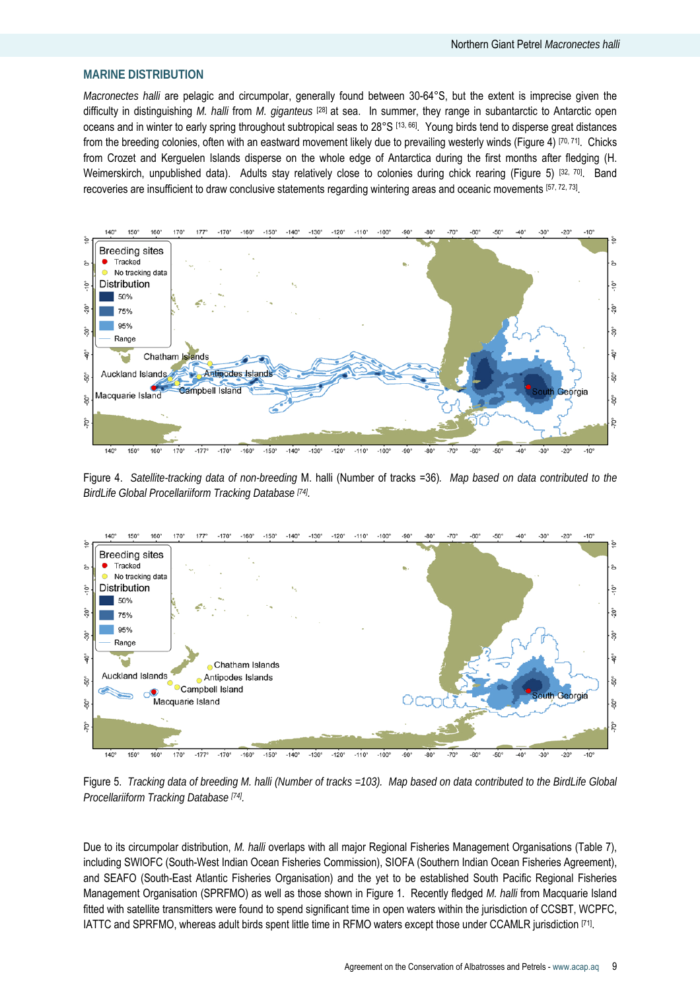# **MARINE DISTRIBUTION**

*Macronectes halli* are pelagic and circumpolar, generally found between 30-64°S, but the extent is imprecise given the difficulty in distinguishing *M. halli* from *M. giganteus* [28] at sea. In summer, they range in subantarctic to Antarctic open oceans and in winter to early spring throughout subtropical seas to 28°S [13, 66]. Young birds tend to disperse great distances from the breeding colonies, often with an eastward movement likely due to prevailing westerly winds (Figure 4) [70, 71]. Chicks from Crozet and Kerguelen Islands disperse on the whole edge of Antarctica during the first months after fledging (H. Weimerskirch, unpublished data). Adults stay relatively close to colonies during chick rearing (Figure 5) [32, 70]. Band recoveries are insufficient to draw conclusive statements regarding wintering areas and oceanic movements [57, 72, 73].



Figure 4. *Satellite-tracking data of non-breeding* M. halli (Number of tracks =36)*. Map based on data contributed to the BirdLife Global Procellariiform Tracking Database [74].*



Figure 5. *Tracking data of breeding M. halli (Number of tracks =103). Map based on data contributed to the BirdLife Global Procellariiform Tracking Database [74].*

Due to its circumpolar distribution, *M. halli* overlaps with all major Regional Fisheries Management Organisations (Table 7), including SWIOFC (South-West Indian Ocean Fisheries Commission), SIOFA (Southern Indian Ocean Fisheries Agreement), and SEAFO (South-East Atlantic Fisheries Organisation) and the yet to be established South Pacific Regional Fisheries Management Organisation (SPRFMO) as well as those shown in Figure 1. Recently fledged *M. halli* from Macquarie Island fitted with satellite transmitters were found to spend significant time in open waters within the jurisdiction of CCSBT, WCPFC, IATTC and SPRFMO, whereas adult birds spent little time in RFMO waters except those under CCAMLR jurisdiction [71].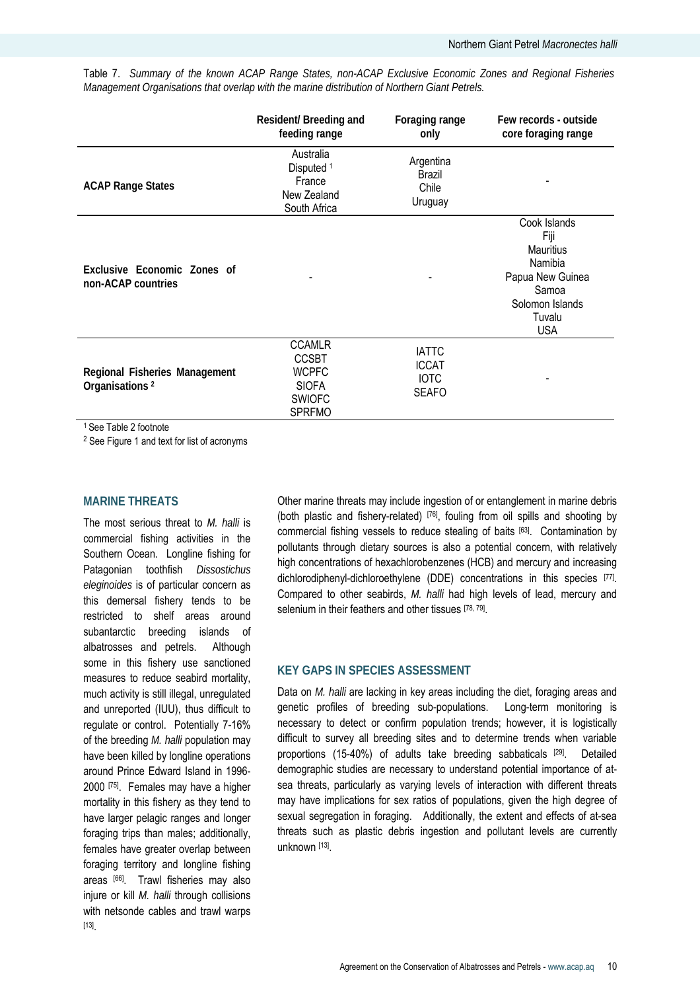|                                                             | Resident/ Breeding and<br>feeding range                                                         | Foraging range<br>only                               | Few records - outside<br>core foraging range                                                                                |
|-------------------------------------------------------------|-------------------------------------------------------------------------------------------------|------------------------------------------------------|-----------------------------------------------------------------------------------------------------------------------------|
| <b>ACAP Range States</b>                                    | Australia<br>Disputed <sup>1</sup><br>France<br>New Zealand<br>South Africa                     | Argentina<br>Brazil<br>Chile<br>Uruguay              |                                                                                                                             |
| Exclusive Economic Zones of<br>non-ACAP countries           |                                                                                                 |                                                      | Cook Islands<br>Fiji<br><b>Mauritius</b><br>Namibia<br>Papua New Guinea<br>Samoa<br>Solomon Islands<br>Tuvalu<br><b>USA</b> |
| Regional Fisheries Management<br>Organisations <sup>2</sup> | <b>CCAMLR</b><br><b>CCSBT</b><br><b>WCPFC</b><br><b>SIOFA</b><br><b>SWIOFC</b><br><b>SPRFMO</b> | <b>IATTC</b><br><b>ICCAT</b><br><b>IOTC</b><br>SEAFO |                                                                                                                             |

Table 7. *Summary of the known ACAP Range States, non-ACAP Exclusive Economic Zones and Regional Fisheries Management Organisations that overlap with the marine distribution of Northern Giant Petrels.* 

<sup>1</sup> See Table 2 footnote

2 See Figure 1 and text for list of acronyms

#### **MARINE THREATS**

The most serious threat to *M. halli* is commercial fishing activities in the Southern Ocean. Longline fishing for Patagonian toothfish *Dissostichus eleginoides* is of particular concern as this demersal fishery tends to be restricted to shelf areas around subantarctic breeding islands of albatrosses and petrels. Although some in this fishery use sanctioned measures to reduce seabird mortality, much activity is still illegal, unregulated and unreported (IUU), thus difficult to regulate or control. Potentially 7-16% of the breeding *M. halli* population may have been killed by longline operations around Prince Edward Island in 1996- 2000 [75]. Females may have a higher mortality in this fishery as they tend to have larger pelagic ranges and longer foraging trips than males; additionally, females have greater overlap between foraging territory and longline fishing areas [66]. Trawl fisheries may also injure or kill *M. halli* through collisions with netsonde cables and trawl warps [13]

Other marine threats may include ingestion of or entanglement in marine debris (both plastic and fishery-related) [76], fouling from oil spills and shooting by commercial fishing vessels to reduce stealing of baits [63]. Contamination by pollutants through dietary sources is also a potential concern, with relatively high concentrations of hexachlorobenzenes (HCB) and mercury and increasing dichlorodiphenyl-dichloroethylene (DDE) concentrations in this species [77]. Compared to other seabirds, *M. halli* had high levels of lead, mercury and selenium in their feathers and other tissues [78, 79].

#### **KEY GAPS IN SPECIES ASSESSMENT**

Data on *M. halli* are lacking in key areas including the diet, foraging areas and genetic profiles of breeding sub-populations. Long-term monitoring is necessary to detect or confirm population trends; however, it is logistically difficult to survey all breeding sites and to determine trends when variable proportions (15-40%) of adults take breeding sabbaticals [29]. Detailed demographic studies are necessary to understand potential importance of atsea threats, particularly as varying levels of interaction with different threats may have implications for sex ratios of populations, given the high degree of sexual segregation in foraging. Additionally, the extent and effects of at-sea threats such as plastic debris ingestion and pollutant levels are currently unknown [13].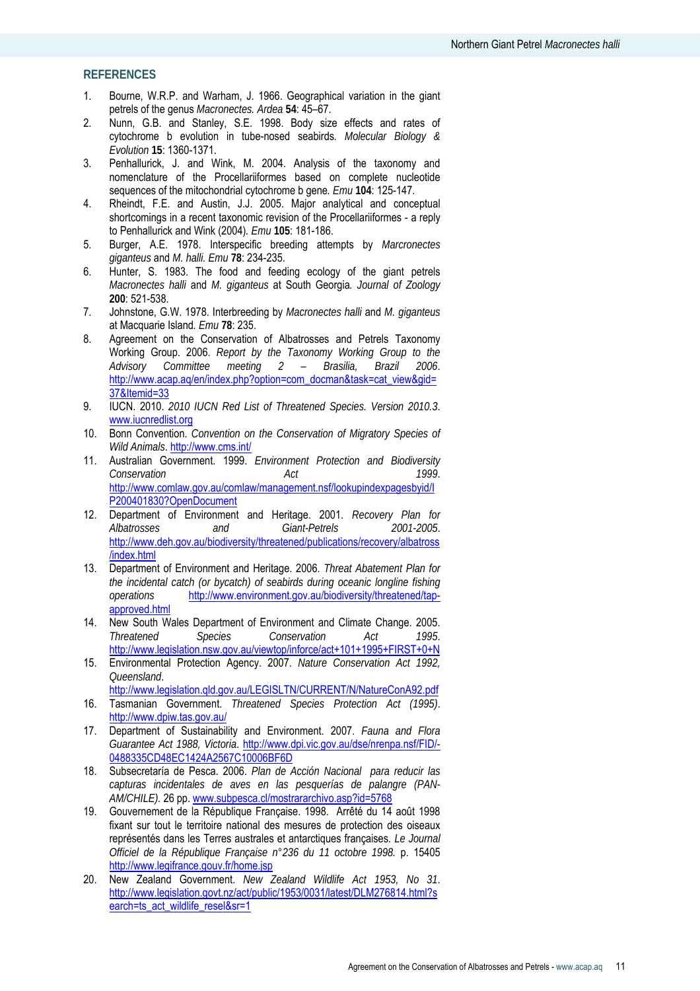#### **REFERENCES**

- 1. Bourne, W.R.P. and Warham, J. 1966. Geographical variation in the giant petrels of the genus *Macronectes. Ardea* **54**: 45–67.
- 2. Nunn, G.B. and Stanley, S.E. 1998. Body size effects and rates of cytochrome b evolution in tube-nosed seabirds*. Molecular Biology & Evolution* **15**: 1360-1371.
- 3. Penhallurick, J. and Wink, M. 2004. Analysis of the taxonomy and nomenclature of the Procellariiformes based on complete nucleotide sequences of the mitochondrial cytochrome b gene*. Emu* **104**: 125-147.
- 4. Rheindt, F.E. and Austin, J.J. 2005. Major analytical and conceptual shortcomings in a recent taxonomic revision of the Procellariiformes - a reply to Penhallurick and Wink (2004)*. Emu* **105**: 181-186.
- 5. Burger, A.E. 1978. Interspecific breeding attempts by *Marcronectes giganteus* and *M. halli. Emu* **78**: 234-235.
- 6. Hunter, S. 1983. The food and feeding ecology of the giant petrels *Macronectes halli* and *M. giganteus* at South Georgia*. Journal of Zoology* **200**: 521-538.
- 7. Johnstone, G.W. 1978. Interbreeding by *Macronectes halli* and *M. giganteus* at Macquarie Island*. Emu* **78**: 235.
- 8. Agreement on the Conservation of Albatrosses and Petrels Taxonomy Working Group. 2006. *Report by the Taxonomy Working Group to the Advisory Committee meeting 2 – Brasilia, Brazil 2006*. http://www.acap.aq/en/index.php?option=com\_docman&task=cat\_view&gid= 37&Itemid=33
- 9. IUCN. 2010. *2010 IUCN Red List of Threatened Species. Version 2010.3*. www.iucnredlist.org
- 10. Bonn Convention. *Convention on the Conservation of Migratory Species of Wild Animals*. http://www.cms.int/
- 11. Australian Government. 1999. *Environment Protection and Biodiversity Conservation Act 1999*. http://www.comlaw.gov.au/comlaw/management.nsf/lookupindexpagesbyid/I P200401830?OpenDocument
- 12. Department of Environment and Heritage. 2001. *Recovery Plan for Albatrosses and Giant-Petrels 2001-2005*. http://www.deh.gov.au/biodiversity/threatened/publications/recovery/albatross /index.html
- 13. Department of Environment and Heritage. 2006. *Threat Abatement Plan for the incidental catch (or bycatch) of seabirds during oceanic longline fishing operations* http://www.environment.gov.au/biodiversity/threatened/tapapproved.html
- 14. New South Wales Department of Environment and Climate Change. 2005. *Threatened Species Conservation Act 1995*. http://www.legislation.nsw.gov.au/viewtop/inforce/act+101+1995+FIRST+0+N
- 15. Environmental Protection Agency. 2007. *Nature Conservation Act 1992, Queensland*. http://www.legislation.qld.gov.au/LEGISLTN/CURRENT/N/NatureConA92.pdf
- 16. Tasmanian Government. *Threatened Species Protection Act (1995)*. http://www.dpiw.tas.gov.au/
- 17. Department of Sustainability and Environment. 2007. *Fauna and Flora Guarantee Act 1988, Victoria*. http://www.dpi.vic.gov.au/dse/nrenpa.nsf/FID/- 0488335CD48EC1424A2567C10006BF6D
- 18. Subsecretaría de Pesca. 2006. *Plan de Acción Nacional para reducir las capturas incidentales de aves en las pesquerías de palangre (PAN-AM/CHILE).* 26 pp. www.subpesca.cl/mostrararchivo.asp?id=5768
- 19. Gouvernement de la République Française. 1998. Arrêté du 14 août 1998 fixant sur tout le territoire national des mesures de protection des oiseaux représentés dans les Terres australes et antarctiques françaises*. Le Journal Officiel de la République Française n°236 du 11 octobre 1998.* p. 15405 http://www.legifrance.gouv.fr/home.jsp
- 20. New Zealand Government. *New Zealand Wildlife Act 1953, No 31*. http://www.legislation.govt.nz/act/public/1953/0031/latest/DLM276814.html?s earch=ts\_act\_wildlife\_resel&sr=1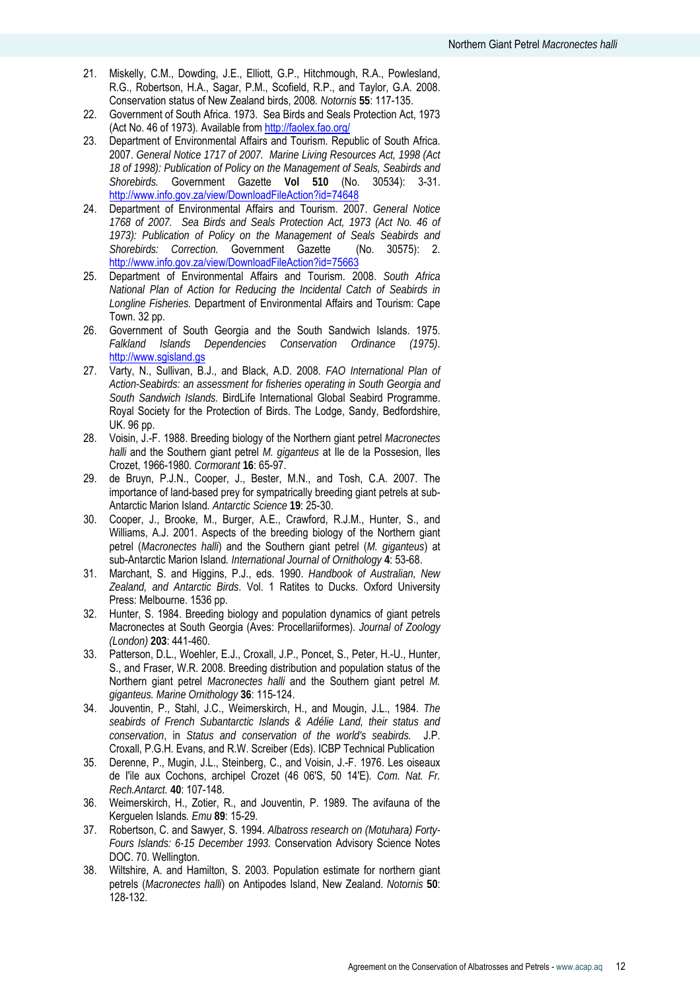- 21. Miskelly, C.M., Dowding, J.E., Elliott, G.P., Hitchmough, R.A., Powlesland, R.G., Robertson, H.A., Sagar, P.M., Scofield, R.P., and Taylor, G.A. 2008. Conservation status of New Zealand birds, 2008*. Notornis* **55**: 117-135.
- 22. Government of South Africa. 1973. Sea Birds and Seals Protection Act, 1973 (Act No. 46 of 1973)*.* Available from http://faolex.fao.org/
- 23. Department of Environmental Affairs and Tourism. Republic of South Africa. 2007. *General Notice 1717 of 2007. Marine Living Resources Act, 1998 (Act 18 of 1998): Publication of Policy on the Management of Seals, Seabirds and Shorebirds.* Government Gazette **Vol 510** (No. 30534): 3-31. http://www.info.gov.za/view/DownloadFileAction?id=74648
- 24. Department of Environmental Affairs and Tourism. 2007. *General Notice 1768 of 2007. Sea Birds and Seals Protection Act, 1973 (Act No. 46 of 1973): Publication of Policy on the Management of Seals Seabirds and Shorebirds: Correction.* Government Gazette (No. 30575): 2. http://www.info.gov.za/view/DownloadFileAction?id=75663
- 25. Department of Environmental Affairs and Tourism. 2008. *South Africa National Plan of Action for Reducing the Incidental Catch of Seabirds in Longline Fisheries.* Department of Environmental Affairs and Tourism: Cape Town. 32 pp.
- 26. Government of South Georgia and the South Sandwich Islands. 1975. *Falkland Islands Dependencies Conservation Ordinance (1975)*. http://www.sgisland.gs
- 27. Varty, N., Sullivan, B.J., and Black, A.D. 2008. *FAO International Plan of Action-Seabirds: an assessment for fisheries operating in South Georgia and South Sandwich Islands.* BirdLife International Global Seabird Programme. Royal Society for the Protection of Birds. The Lodge, Sandy, Bedfordshire, UK. 96 pp.
- 28. Voisin, J.-F. 1988. Breeding biology of the Northern giant petrel *Macronectes halli* and the Southern giant petrel *M. giganteus* at Ile de la Possesion, Iles Crozet, 1966-1980*. Cormorant* **16**: 65-97.
- 29. de Bruyn, P.J.N., Cooper, J., Bester, M.N., and Tosh, C.A. 2007. The importance of land-based prey for sympatrically breeding giant petrels at sub-Antarctic Marion Island*. Antarctic Science* **19**: 25-30.
- 30. Cooper, J., Brooke, M., Burger, A.E., Crawford, R.J.M., Hunter, S., and Williams, A.J. 2001. Aspects of the breeding biology of the Northern giant petrel (*Macronectes halli*) and the Southern giant petrel (*M. giganteus*) at sub-Antarctic Marion Island*. International Journal of Ornithology* **4**: 53-68.
- 31. Marchant, S. and Higgins, P.J., eds. 1990. *Handbook of Australian, New Zealand, and Antarctic Birds*. Vol. 1 Ratites to Ducks. Oxford University Press: Melbourne. 1536 pp.
- 32. Hunter, S. 1984. Breeding biology and population dynamics of giant petrels Macronectes at South Georgia (Aves: Procellariiformes). *Journal of Zoology (London)* **203**: 441-460.
- 33. Patterson, D.L., Woehler, E.J., Croxall, J.P., Poncet, S., Peter, H.-U., Hunter, S., and Fraser, W.R. 2008. Breeding distribution and population status of the Northern giant petrel *Macronectes halli* and the Southern giant petrel *M. giganteus. Marine Ornithology* **36**: 115-124.
- 34. Jouventin, P., Stahl, J.C., Weimerskirch, H., and Mougin, J.L., 1984. *The seabirds of French Subantarctic Islands & Adélie Land, their status and conservation*, in *Status and conservation of the world's seabirds.* J.P. Croxall, P.G.H. Evans, and R.W. Screiber (Eds). ICBP Technical Publication
- 35. Derenne, P., Mugin, J.L., Steinberg, C., and Voisin, J.-F. 1976. Les oiseaux de I'ile aux Cochons, archipel Crozet (46 06'S, 50 14'E)*. Com. Nat. Fr. Rech.Antarct.* **40**: 107-148.
- 36. Weimerskirch, H., Zotier, R., and Jouventin, P. 1989. The avifauna of the Kerguelen Islands*. Emu* **89**: 15-29.
- 37. Robertson, C. and Sawyer, S. 1994. *Albatross research on (Motuhara) Forty-Fours Islands: 6-15 December 1993.* Conservation Advisory Science Notes DOC. 70. Wellington.
- 38. Wiltshire, A. and Hamilton, S. 2003. Population estimate for northern giant petrels (*Macronectes halli*) on Antipodes Island, New Zealand. *Notornis* **50**: 128-132.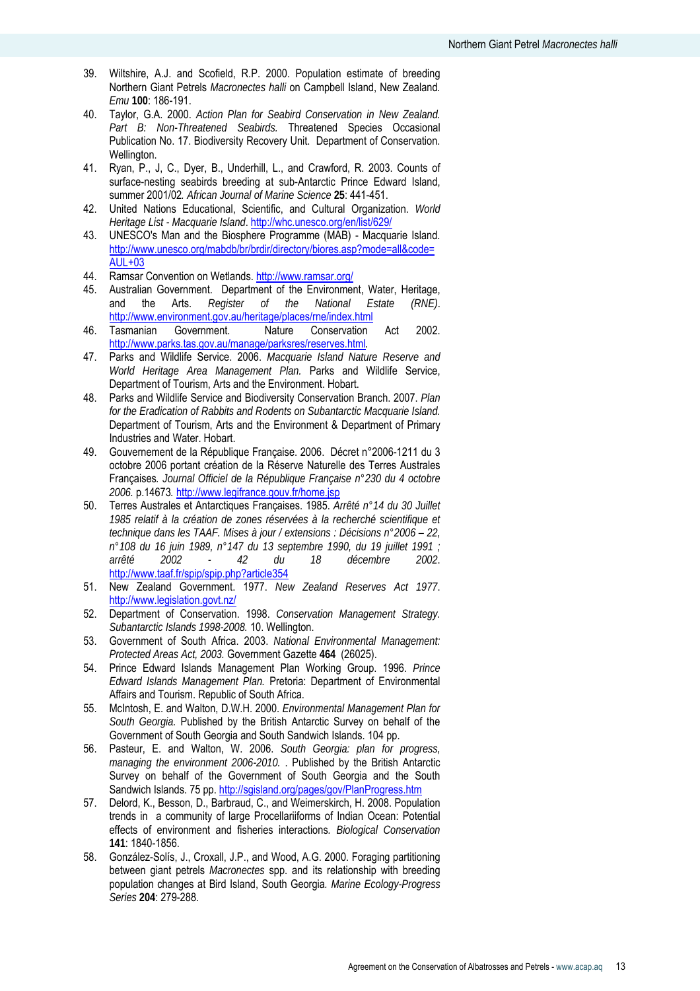- 39. Wiltshire, A.J. and Scofield, R.P. 2000. Population estimate of breeding Northern Giant Petrels *Macronectes halli* on Campbell Island, New Zealand*. Emu* **100**: 186-191.
- 40. Taylor, G.A. 2000. *Action Plan for Seabird Conservation in New Zealand. Part B: Non-Threatened Seabirds.* Threatened Species Occasional Publication No. 17. Biodiversity Recovery Unit. Department of Conservation. Wellington.
- 41. Ryan, P., J, C., Dyer, B., Underhill, L., and Crawford, R. 2003. Counts of surface-nesting seabirds breeding at sub-Antarctic Prince Edward Island, summer 2001/02*. African Journal of Marine Science* **25**: 441-451.
- 42. United Nations Educational, Scientific, and Cultural Organization. *World Heritage List - Macquarie Island*. http://whc.unesco.org/en/list/629/
- 43. UNESCO's Man and the Biosphere Programme (MAB) Macquarie Island. http://www.unesco.org/mabdb/br/brdir/directory/biores.asp?mode=all&code= AUL+03
- 44. Ramsar Convention on Wetlands. http://www.ramsar.org/<br>45. Australian Government. Department of the Environmer
- Australian Government. Department of the Environment, Water, Heritage, and the Arts. *Register of the National Estate (RNE)*. http://www.environment.gov.au/heritage/places/rne/index.html
- 46. Tasmanian Government. Nature Conservation Act 2002. http://www.parks.tas.gov.au/manage/parksres/reserves.html*.*
- 47. Parks and Wildlife Service. 2006. *Macquarie Island Nature Reserve and World Heritage Area Management Plan.* Parks and Wildlife Service, Department of Tourism, Arts and the Environment. Hobart.
- 48. Parks and Wildlife Service and Biodiversity Conservation Branch. 2007. *Plan for the Eradication of Rabbits and Rodents on Subantarctic Macquarie Island.* Department of Tourism, Arts and the Environment & Department of Primary Industries and Water. Hobart.
- 49. Gouvernement de la République Française. 2006. Décret n°2006-1211 du 3 octobre 2006 portant création de la Réserve Naturelle des Terres Australes Françaises*. Journal Officiel de la République Française n°230 du 4 octobre 2006.* p.14673*.* http://www.legifrance.gouv.fr/home.jsp
- 50. Terres Australes et Antarctiques Françaises. 1985. *Arrêté n°14 du 30 Juillet 1985 relatif à la création de zones réservées à la recherché scientifique et technique dans les TAAF. Mises à jour / extensions : Décisions n°2006 – 22, n°108 du 16 juin 1989, n°147 du 13 septembre 1990, du 19 juillet 1991 ; arrêté 2002 - 42 du 18 décembre 2002*. http://www.taaf.fr/spip/spip.php?article354
- 51. New Zealand Government. 1977. *New Zealand Reserves Act 1977*. http://www.legislation.govt.nz/
- 52. Department of Conservation. 1998. *Conservation Management Strategy. Subantarctic Islands 1998-2008.* 10. Wellington.
- 53. Government of South Africa. 2003. *National Environmental Management: Protected Areas Act, 2003.* Government Gazette **464** (26025).
- 54. Prince Edward Islands Management Plan Working Group. 1996. *Prince Edward Islands Management Plan.* Pretoria: Department of Environmental Affairs and Tourism. Republic of South Africa.
- 55. McIntosh, E. and Walton, D.W.H. 2000. *Environmental Management Plan for South Georgia.* Published by the British Antarctic Survey on behalf of the Government of South Georgia and South Sandwich Islands. 104 pp.
- 56. Pasteur, E. and Walton, W. 2006. *South Georgia: plan for progress, managing the environment 2006-2010.* . Published by the British Antarctic Survey on behalf of the Government of South Georgia and the South Sandwich Islands. 75 pp. http://sgisland.org/pages/gov/PlanProgress.htm
- 57. Delord, K., Besson, D., Barbraud, C., and Weimerskirch, H. 2008. Population trends in a community of large Procellariiforms of Indian Ocean: Potential effects of environment and fisheries interactions*. Biological Conservation* **141**: 1840-1856.
- 58. González-Solís, J., Croxall, J.P., and Wood, A.G. 2000. Foraging partitioning between giant petrels *Macronectes* spp. and its relationship with breeding population changes at Bird Island, South Georgia*. Marine Ecology-Progress Series* **204**: 279-288.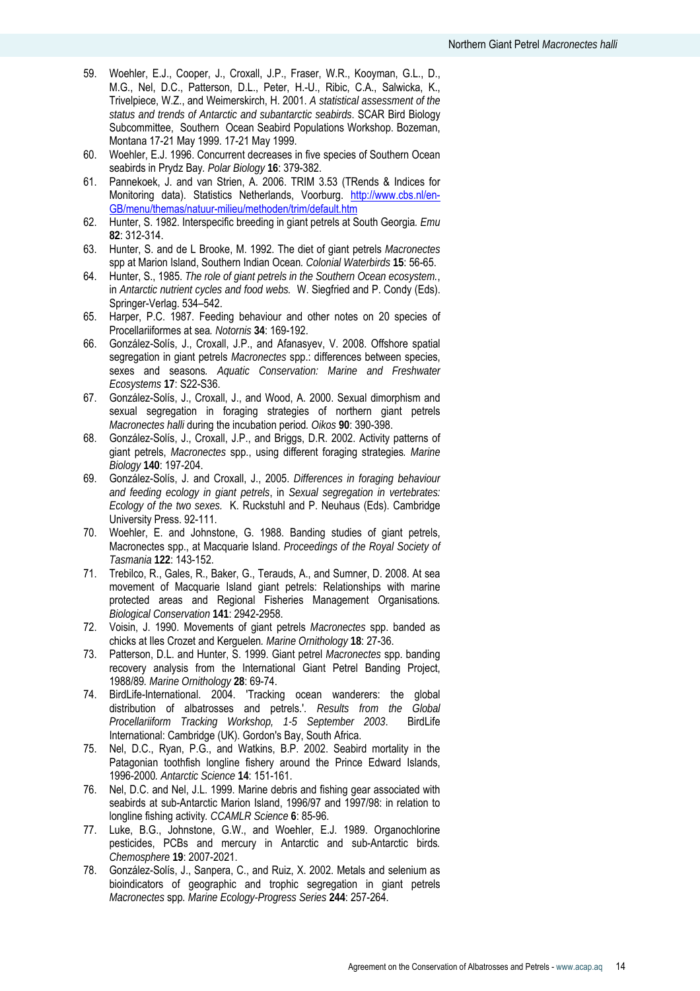- 59. Woehler, E.J., Cooper, J., Croxall, J.P., Fraser, W.R., Kooyman, G.L., D., M.G., Nel, D.C., Patterson, D.L., Peter, H.-U., Ribic, C.A., Salwicka, K., Trivelpiece, W.Z., and Weimerskirch, H. 2001. *A statistical assessment of the status and trends of Antarctic and subantarctic seabirds*. SCAR Bird Biology Subcommittee, Southern Ocean Seabird Populations Workshop. Bozeman, Montana 17-21 May 1999. 17-21 May 1999.
- 60. Woehler, E.J. 1996. Concurrent decreases in five species of Southern Ocean seabirds in Prydz Bay*. Polar Biology* **16**: 379-382.
- 61. Pannekoek, J. and van Strien, A. 2006. TRIM 3.53 (TRends & Indices for Monitoring data). Statistics Netherlands, Voorburg. http://www.cbs.nl/en-GB/menu/themas/natuur-milieu/methoden/trim/default.htm
- 62. Hunter, S. 1982. Interspecific breeding in giant petrels at South Georgia*. Emu* **82**: 312-314.
- 63. Hunter, S. and de L Brooke, M. 1992. The diet of giant petrels *Macronectes* spp at Marion Island, Southern Indian Ocean*. Colonial Waterbirds* **15**: 56-65.
- 64. Hunter, S., 1985. *The role of giant petrels in the Southern Ocean ecosystem.*, in *Antarctic nutrient cycles and food webs.* W. Siegfried and P. Condy (Eds). Springer-Verlag. 534–542.
- 65. Harper, P.C. 1987. Feeding behaviour and other notes on 20 species of Procellariiformes at sea*. Notornis* **34**: 169-192.
- 66. González-Solís, J., Croxall, J.P., and Afanasyev, V. 2008. Offshore spatial segregation in giant petrels *Macronectes* spp.: differences between species, sexes and seasons*. Aquatic Conservation: Marine and Freshwater Ecosystems* **17**: S22-S36.
- 67. González-Solís, J., Croxall, J., and Wood, A. 2000. Sexual dimorphism and sexual segregation in foraging strategies of northern giant petrels *Macronectes halli* during the incubation period*. Oikos* **90**: 390-398.
- 68. González-Solís, J., Croxall, J.P., and Briggs, D.R. 2002. Activity patterns of giant petrels, *Macronectes* spp., using different foraging strategies*. Marine Biology* **140**: 197-204.
- 69. González-Solís, J. and Croxall, J., 2005. *Differences in foraging behaviour and feeding ecology in giant petrels*, in *Sexual segregation in vertebrates: Ecology of the two sexes.* K. Ruckstuhl and P. Neuhaus (Eds). Cambridge University Press. 92-111.
- 70. Woehler, E. and Johnstone, G. 1988. Banding studies of giant petrels, Macronectes spp., at Macquarie Island. *Proceedings of the Royal Society of Tasmania* **122**: 143-152.
- 71. Trebilco, R., Gales, R., Baker, G., Terauds, A., and Sumner, D. 2008. At sea movement of Macquarie Island giant petrels: Relationships with marine protected areas and Regional Fisheries Management Organisations*. Biological Conservation* **141**: 2942-2958.
- 72. Voisin, J. 1990. Movements of giant petrels *Macronectes* spp. banded as chicks at Iles Crozet and Kerguelen*. Marine Ornithology* **18**: 27-36.
- 73. Patterson, D.L. and Hunter, S. 1999. Giant petrel *Macronectes* spp. banding recovery analysis from the International Giant Petrel Banding Project, 1988/89*. Marine Ornithology* **28**: 69-74.
- 74. BirdLife-International. 2004. 'Tracking ocean wanderers: the global distribution of albatrosses and petrels.'. *Results from the Global Procellariiform Tracking Workshop, 1-5 September 2003*. BirdLife International: Cambridge (UK). Gordon's Bay, South Africa.
- 75. Nel, D.C., Ryan, P.G., and Watkins, B.P. 2002. Seabird mortality in the Patagonian toothfish longline fishery around the Prince Edward Islands, 1996-2000*. Antarctic Science* **14**: 151-161.
- 76. Nel, D.C. and Nel, J.L. 1999. Marine debris and fishing gear associated with seabirds at sub-Antarctic Marion Island, 1996/97 and 1997/98: in relation to longline fishing activity*. CCAMLR Science* **6**: 85-96.
- 77. Luke, B.G., Johnstone, G.W., and Woehler, E.J. 1989. Organochlorine pesticides, PCBs and mercury in Antarctic and sub-Antarctic birds*. Chemosphere* **19**: 2007-2021.
- 78. González-Solís, J., Sanpera, C., and Ruiz, X. 2002. Metals and selenium as bioindicators of geographic and trophic segregation in giant petrels *Macronectes* spp*. Marine Ecology-Progress Series* **244**: 257-264.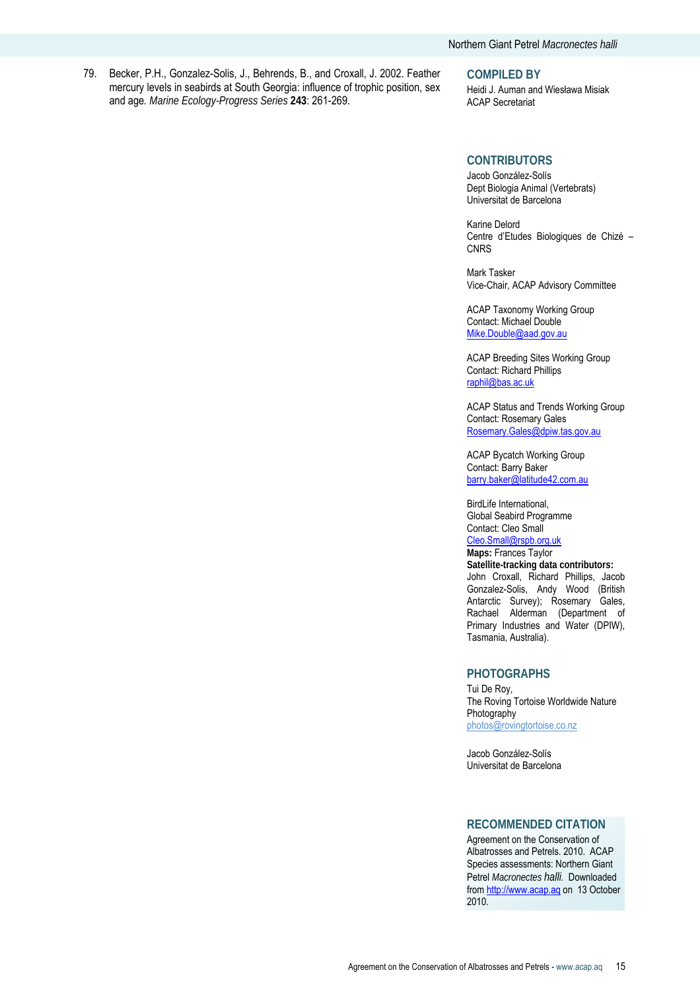79. Becker, P.H., Gonzalez-Solis, J., Behrends, B., and Croxall, J. 2002. Feather mercury levels in seabirds at South Georgia: influence of trophic position, sex and age*. Marine Ecology-Progress Series* **243**: 261-269.

**COMPILED BY** 

Heidi J. Auman and Wiesława Misiak ACAP Secretariat

#### **CONTRIBUTORS**

Jacob González-Solís Dept Biologia Animal (Vertebrats) Universitat de Barcelona

Karine Delord Centre d'Etudes Biologiques de Chizé – **CNRS** 

Mark Tasker Vice-Chair, ACAP Advisory Committee

ACAP Taxonomy Working Group Contact: Michael Double Mike.Double@aad.gov.au

ACAP Breeding Sites Working Group Contact: Richard Phillips raphil@bas.ac.uk

ACAP Status and Trends Working Group Contact: Rosemary Gales Rosemary.Gales@dpiw.tas.gov.au

ACAP Bycatch Working Group Contact: Barry Baker barry.baker@latitude42.com.au

BirdLife International, Global Seabird Programme Contact: Cleo Small Cleo.Small@rspb.org.uk **Maps:** Frances Taylor **Satellite-tracking data contributors:**

John Croxall, Richard Phillips, Jacob Gonzalez-Solis, Andy Wood (British Antarctic Survey); Rosemary Gales, Rachael Alderman (Department of Primary Industries and Water (DPIW), Tasmania, Australia).

#### **PHOTOGRAPHS**

Tui De Roy, The Roving Tortoise Worldwide Nature Photography photos@rovingtortoise.co.nz

Jacob González-Solís Universitat de Barcelona

#### **RECOMMENDED CITATION**

Agreement on the Conservation of Albatrosses and Petrels. 2010. ACAP Species assessments: Northern Giant Petrel *Macronectes halli.* Downloaded from http://www.acap.aq on 13 October 2010.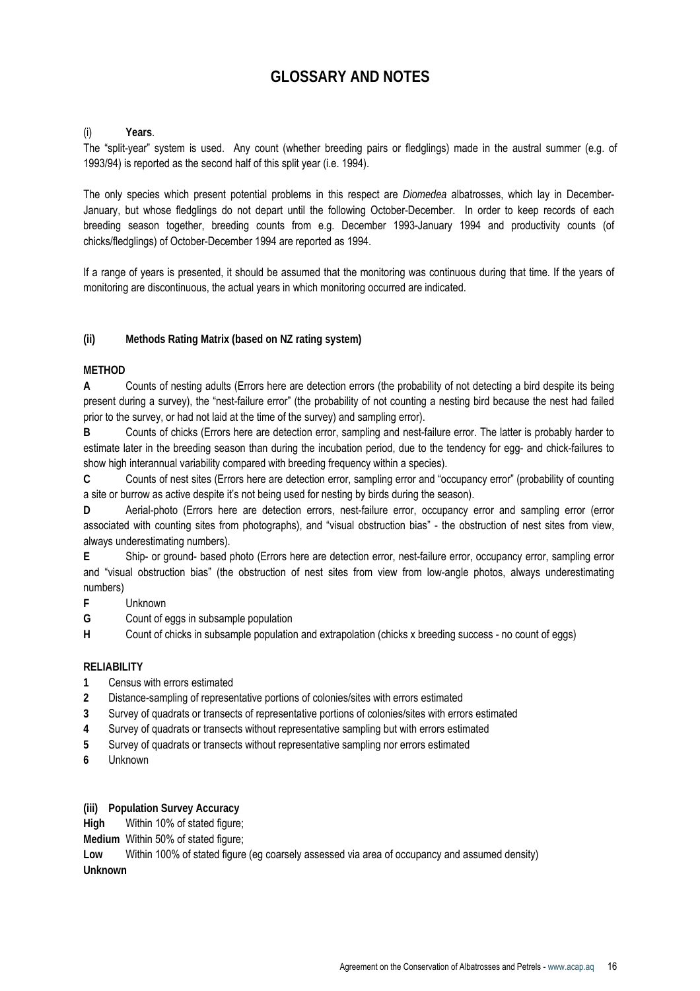# **GLOSSARY AND NOTES**

#### (i) **Years**.

The "split-year" system is used. Any count (whether breeding pairs or fledglings) made in the austral summer (e.g. of 1993/94) is reported as the second half of this split year (i.e. 1994).

The only species which present potential problems in this respect are *Diomedea* albatrosses, which lay in December-January, but whose fledglings do not depart until the following October-December. In order to keep records of each breeding season together, breeding counts from e.g. December 1993-January 1994 and productivity counts (of chicks/fledglings) of October-December 1994 are reported as 1994.

If a range of years is presented, it should be assumed that the monitoring was continuous during that time. If the years of monitoring are discontinuous, the actual years in which monitoring occurred are indicated.

# **(ii) Methods Rating Matrix (based on NZ rating system)**

#### **METHOD**

**A** Counts of nesting adults (Errors here are detection errors (the probability of not detecting a bird despite its being present during a survey), the "nest-failure error" (the probability of not counting a nesting bird because the nest had failed prior to the survey, or had not laid at the time of the survey) and sampling error).

**B** Counts of chicks (Errors here are detection error, sampling and nest-failure error. The latter is probably harder to estimate later in the breeding season than during the incubation period, due to the tendency for egg- and chick-failures to show high interannual variability compared with breeding frequency within a species).

**C** Counts of nest sites (Errors here are detection error, sampling error and "occupancy error" (probability of counting a site or burrow as active despite it's not being used for nesting by birds during the season).

**D** Aerial-photo (Errors here are detection errors, nest-failure error, occupancy error and sampling error (error associated with counting sites from photographs), and "visual obstruction bias" - the obstruction of nest sites from view, always underestimating numbers).

**E** Ship- or ground- based photo (Errors here are detection error, nest-failure error, occupancy error, sampling error and "visual obstruction bias" (the obstruction of nest sites from view from low-angle photos, always underestimating numbers)

- **F** Unknown
- **G** Count of eggs in subsample population

**H** Count of chicks in subsample population and extrapolation (chicks x breeding success - no count of eggs)

# **RELIABILITY**

- **1** Census with errors estimated
- **2** Distance-sampling of representative portions of colonies/sites with errors estimated
- **3** Survey of quadrats or transects of representative portions of colonies/sites with errors estimated
- **4** Survey of quadrats or transects without representative sampling but with errors estimated
- **5** Survey of quadrats or transects without representative sampling nor errors estimated
- **6** Unknown

**(iii) Population Survey Accuracy** 

**High** Within 10% of stated figure;

**Medium** Within 50% of stated figure;

**Low** Within 100% of stated figure (eg coarsely assessed via area of occupancy and assumed density) **Unknown**